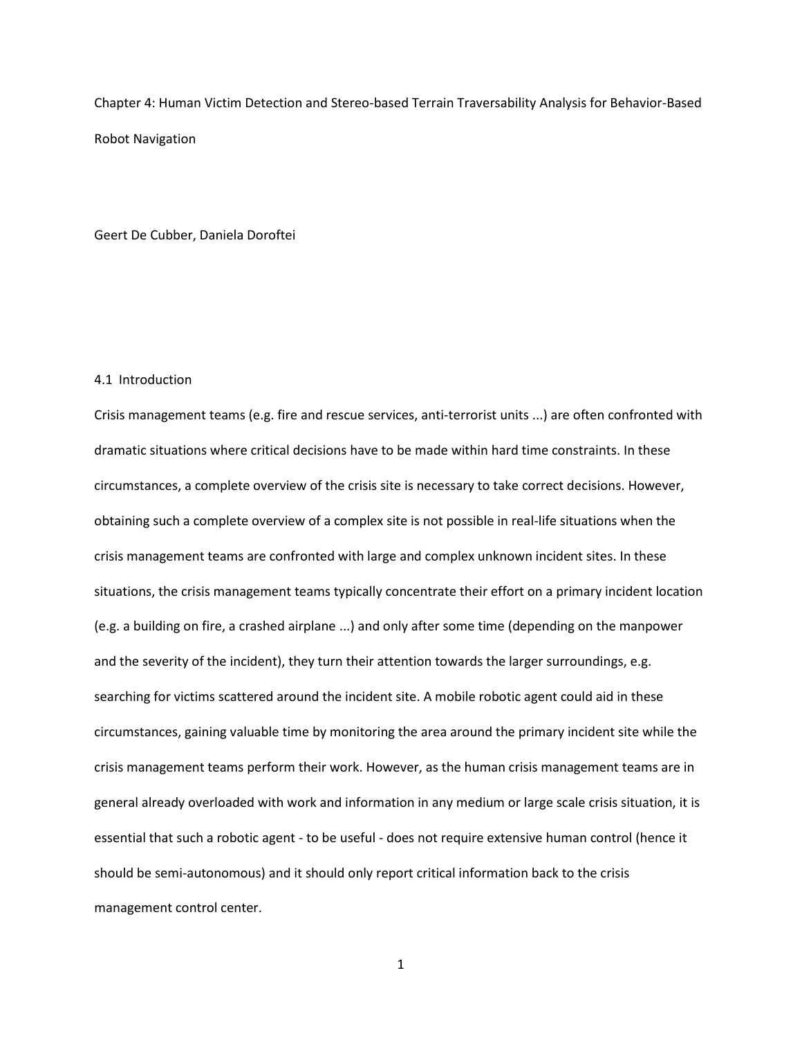Chapter 4: Human Victim Detection and Stereo-based Terrain Traversability Analysis for Behavior-Based Robot Navigation

Geert De Cubber, Daniela Doroftei

#### 4.1 Introduction

Crisis management teams (e.g. fire and rescue services, anti-terrorist units ...) are often confronted with dramatic situations where critical decisions have to be made within hard time constraints. In these circumstances, a complete overview of the crisis site is necessary to take correct decisions. However, obtaining such a complete overview of a complex site is not possible in real-life situations when the crisis management teams are confronted with large and complex unknown incident sites. In these situations, the crisis management teams typically concentrate their effort on a primary incident location (e.g. a building on fire, a crashed airplane ...) and only after some time (depending on the manpower and the severity of the incident), they turn their attention towards the larger surroundings, e.g. searching for victims scattered around the incident site. A mobile robotic agent could aid in these circumstances, gaining valuable time by monitoring the area around the primary incident site while the crisis management teams perform their work. However, as the human crisis management teams are in general already overloaded with work and information in any medium or large scale crisis situation, it is essential that such a robotic agent - to be useful - does not require extensive human control (hence it should be semi-autonomous) and it should only report critical information back to the crisis management control center.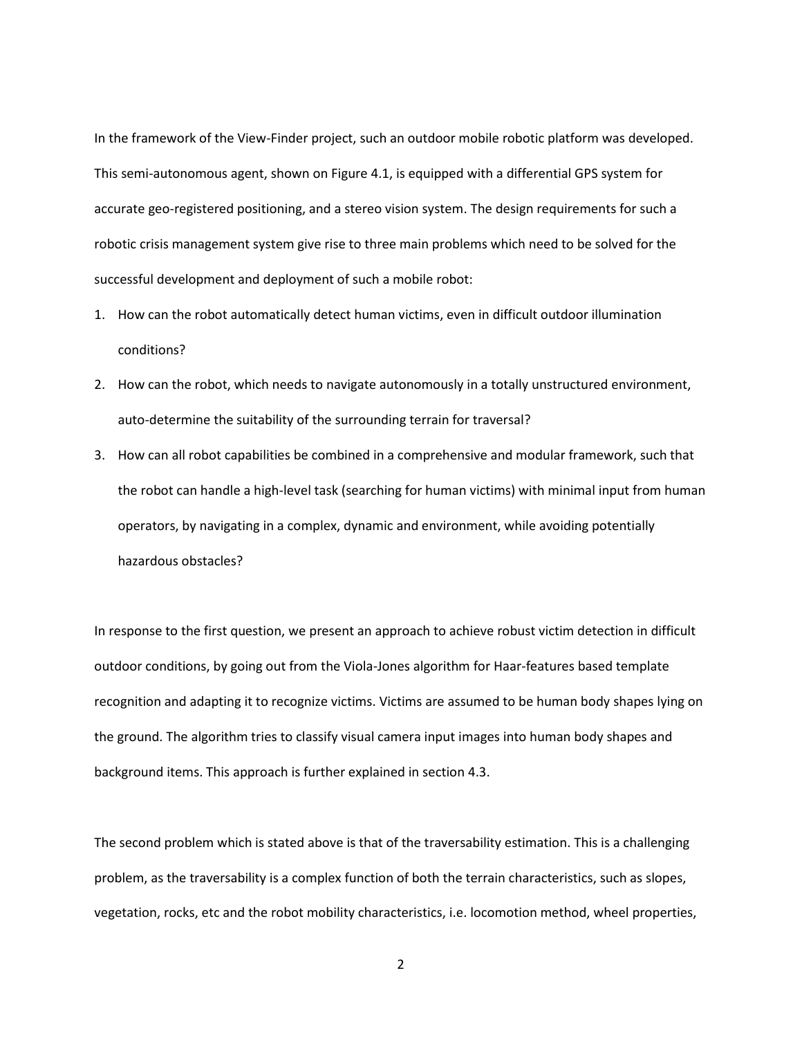In the framework of the View-Finder project, such an outdoor mobile robotic platform was developed. This semi-autonomous agent, shown on Figure 4.1, is equipped with a differential GPS system for accurate geo-registered positioning, and a stereo vision system. The design requirements for such a robotic crisis management system give rise to three main problems which need to be solved for the successful development and deployment of such a mobile robot:

- 1. How can the robot automatically detect human victims, even in difficult outdoor illumination conditions?
- 2. How can the robot, which needs to navigate autonomously in a totally unstructured environment, auto-determine the suitability of the surrounding terrain for traversal?
- 3. How can all robot capabilities be combined in a comprehensive and modular framework, such that the robot can handle a high-level task (searching for human victims) with minimal input from human operators, by navigating in a complex, dynamic and environment, while avoiding potentially hazardous obstacles?

In response to the first question, we present an approach to achieve robust victim detection in difficult outdoor conditions, by going out from the Viola-Jones algorithm for Haar-features based template recognition and adapting it to recognize victims. Victims are assumed to be human body shapes lying on the ground. The algorithm tries to classify visual camera input images into human body shapes and background items. This approach is further explained in section 4.3.

The second problem which is stated above is that of the traversability estimation. This is a challenging problem, as the traversability is a complex function of both the terrain characteristics, such as slopes, vegetation, rocks, etc and the robot mobility characteristics, i.e. locomotion method, wheel properties,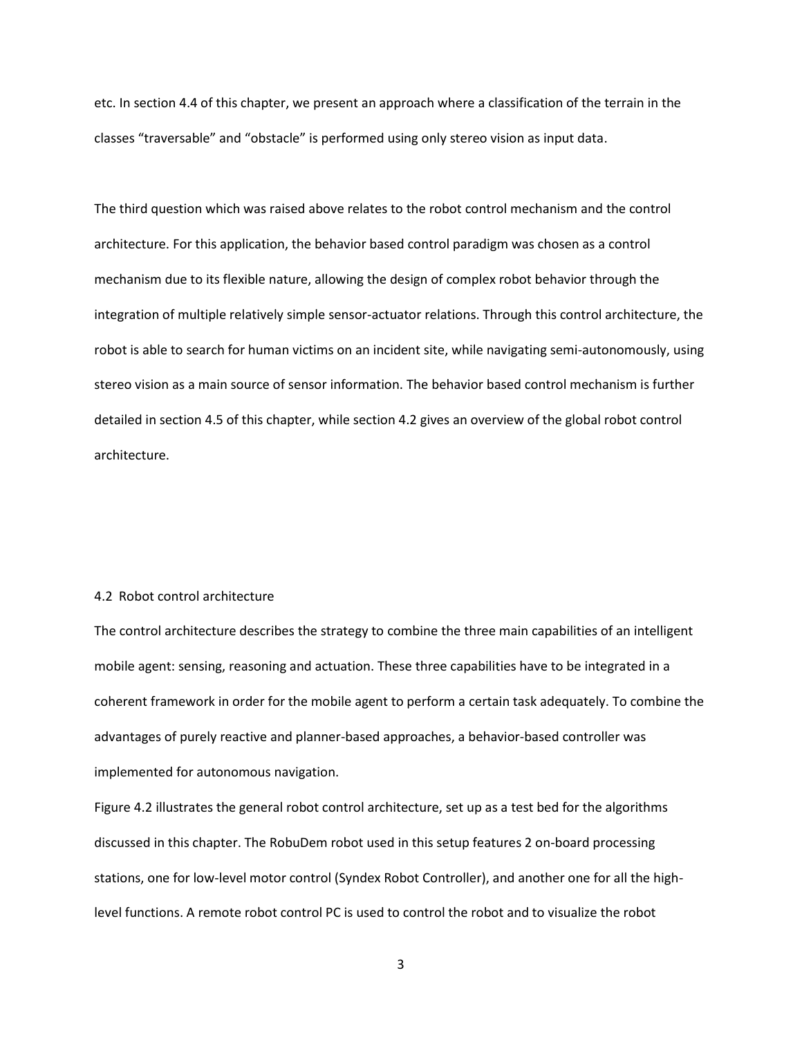etc. In section 4.4 of this chapter, we present an approach where a classification of the terrain in the classes "traversable" and "obstacle" is performed using only stereo vision as input data.

The third question which was raised above relates to the robot control mechanism and the control architecture. For this application, the behavior based control paradigm was chosen as a control mechanism due to its flexible nature, allowing the design of complex robot behavior through the integration of multiple relatively simple sensor-actuator relations. Through this control architecture, the robot is able to search for human victims on an incident site, while navigating semi-autonomously, using stereo vision as a main source of sensor information. The behavior based control mechanism is further detailed in section 4.5 of this chapter, while section 4.2 gives an overview of the global robot control architecture.

## 4.2 Robot control architecture

The control architecture describes the strategy to combine the three main capabilities of an intelligent mobile agent: sensing, reasoning and actuation. These three capabilities have to be integrated in a coherent framework in order for the mobile agent to perform a certain task adequately. To combine the advantages of purely reactive and planner-based approaches, a behavior-based controller was implemented for autonomous navigation.

Figure 4.2 illustrates the general robot control architecture, set up as a test bed for the algorithms discussed in this chapter. The RobuDem robot used in this setup features 2 on-board processing stations, one for low-level motor control (Syndex Robot Controller), and another one for all the highlevel functions. A remote robot control PC is used to control the robot and to visualize the robot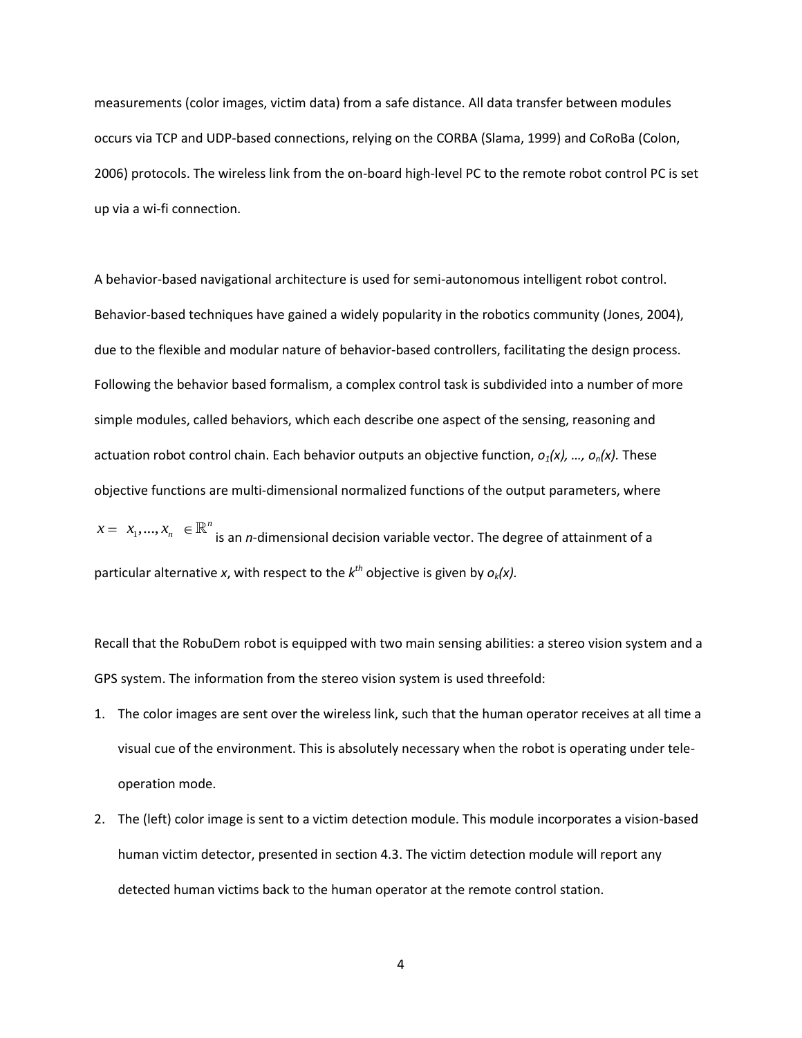measurements (color images, victim data) from a safe distance. All data transfer between modules occurs via TCP and UDP-based connections, relying on the CORBA (Slama, 1999) and CoRoBa (Colon, 2006) protocols. The wireless link from the on-board high-level PC to the remote robot control PC is set up via a wi-fi connection.

A behavior-based navigational architecture is used for semi-autonomous intelligent robot control. Behavior-based techniques have gained a widely popularity in the robotics community (Jones, 2004), due to the flexible and modular nature of behavior-based controllers, facilitating the design process. Following the behavior based formalism, a complex control task is subdivided into a number of more simple modules, called behaviors, which each describe one aspect of the sensing, reasoning and actuation robot control chain. Each behavior outputs an objective function, *o1(x), …, on(x).* These objective functions are multi-dimensional normalized functions of the output parameters, where  $x_{1},...,x_{n} \in \mathbb{R}^{n}$  $x = x_1, ..., x_n$   $\in \mathbb{R}^n$  is an *n*-dimensional decision variable vector. The degree of attainment of a particular alternative *x*, with respect to the *k th* objective is given by *ok(x).*

Recall that the RobuDem robot is equipped with two main sensing abilities: a stereo vision system and a GPS system. The information from the stereo vision system is used threefold:

- 1. The color images are sent over the wireless link, such that the human operator receives at all time a visual cue of the environment. This is absolutely necessary when the robot is operating under teleoperation mode.
- 2. The (left) color image is sent to a victim detection module. This module incorporates a vision-based human victim detector, presented in section 4.3. The victim detection module will report any detected human victims back to the human operator at the remote control station.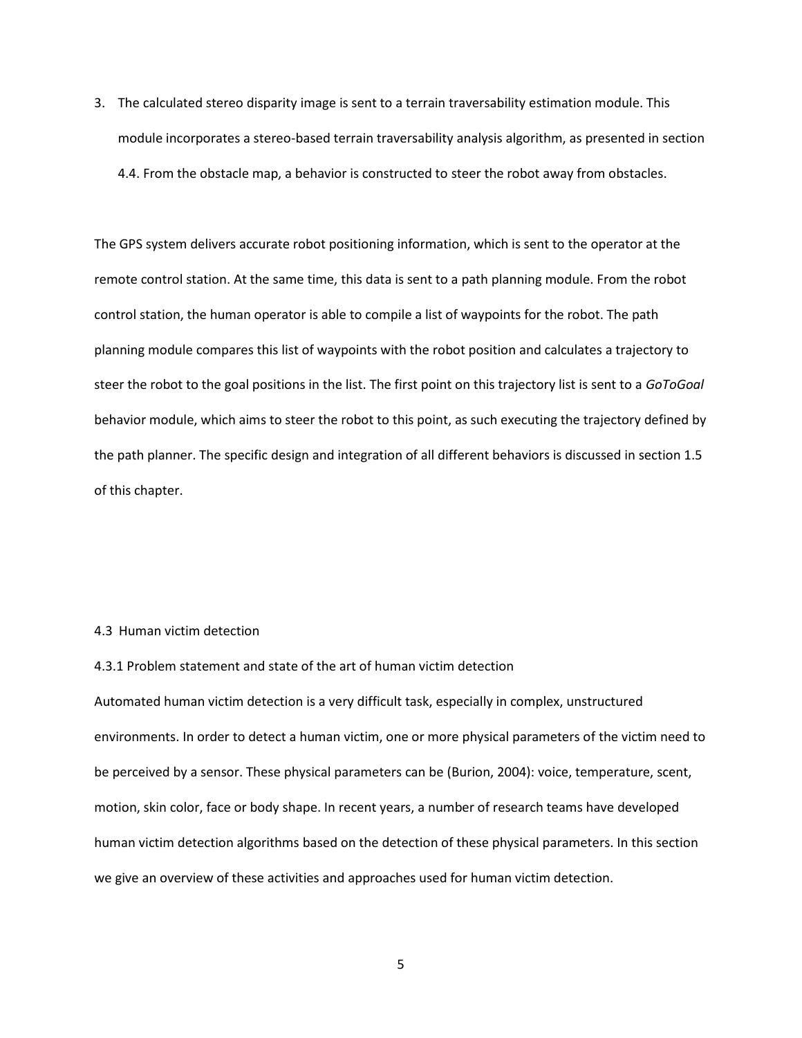3. The calculated stereo disparity image is sent to a terrain traversability estimation module. This module incorporates a stereo-based terrain traversability analysis algorithm, as presented in section 4.4. From the obstacle map, a behavior is constructed to steer the robot away from obstacles.

The GPS system delivers accurate robot positioning information, which is sent to the operator at the remote control station. At the same time, this data is sent to a path planning module. From the robot control station, the human operator is able to compile a list of waypoints for the robot. The path planning module compares this list of waypoints with the robot position and calculates a trajectory to steer the robot to the goal positions in the list. The first point on this trajectory list is sent to a *GoToGoal*  behavior module, which aims to steer the robot to this point, as such executing the trajectory defined by the path planner. The specific design and integration of all different behaviors is discussed in section 1.5 of this chapter.

# 4.3 Human victim detection

4.3.1 Problem statement and state of the art of human victim detection

Automated human victim detection is a very difficult task, especially in complex, unstructured environments. In order to detect a human victim, one or more physical parameters of the victim need to be perceived by a sensor. These physical parameters can be (Burion, 2004): voice, temperature, scent, motion, skin color, face or body shape. In recent years, a number of research teams have developed human victim detection algorithms based on the detection of these physical parameters. In this section we give an overview of these activities and approaches used for human victim detection.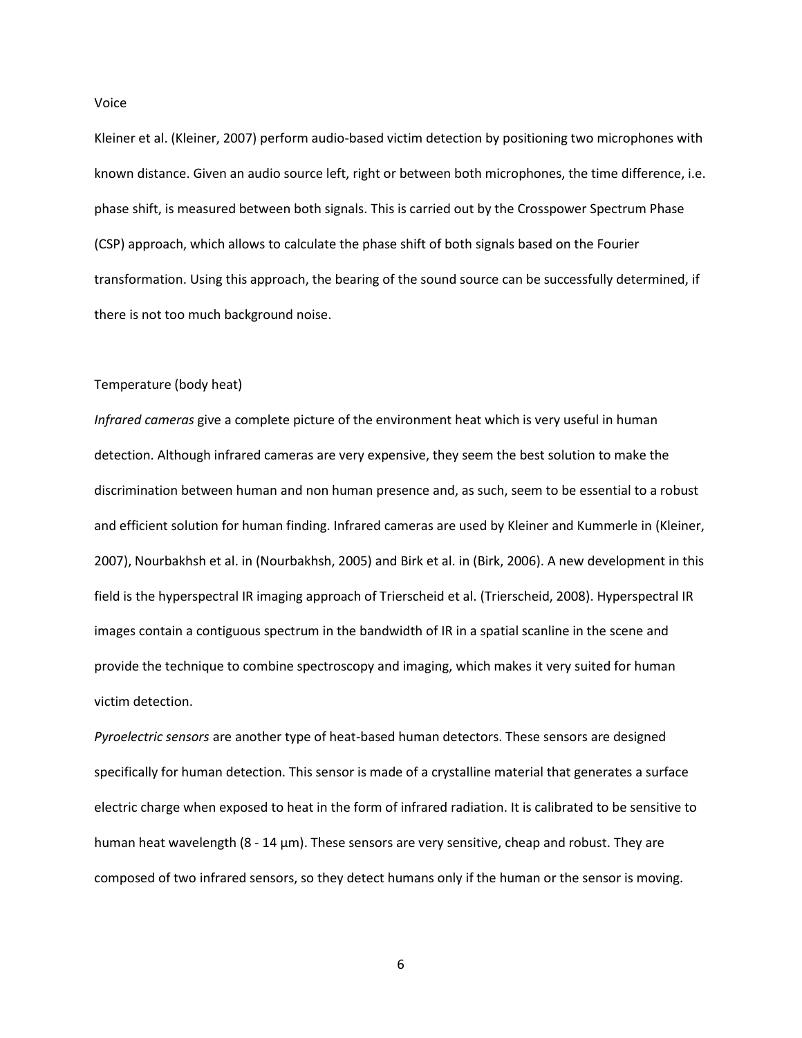Voice

Kleiner et al. (Kleiner, 2007) perform audio-based victim detection by positioning two microphones with known distance. Given an audio source left, right or between both microphones, the time difference, i.e. phase shift, is measured between both signals. This is carried out by the Crosspower Spectrum Phase (CSP) approach, which allows to calculate the phase shift of both signals based on the Fourier transformation. Using this approach, the bearing of the sound source can be successfully determined, if there is not too much background noise.

#### Temperature (body heat)

*Infrared cameras* give a complete picture of the environment heat which is very useful in human detection. Although infrared cameras are very expensive, they seem the best solution to make the discrimination between human and non human presence and, as such, seem to be essential to a robust and efficient solution for human finding. Infrared cameras are used by Kleiner and Kummerle in (Kleiner, 2007), Nourbakhsh et al. in (Nourbakhsh, 2005) and Birk et al. in (Birk, 2006). A new development in this field is the hyperspectral IR imaging approach of Trierscheid et al. (Trierscheid, 2008). Hyperspectral IR images contain a contiguous spectrum in the bandwidth of IR in a spatial scanline in the scene and provide the technique to combine spectroscopy and imaging, which makes it very suited for human victim detection.

*Pyroelectric sensors* are another type of heat-based human detectors. These sensors are designed specifically for human detection. This sensor is made of a crystalline material that generates a surface electric charge when exposed to heat in the form of infrared radiation. It is calibrated to be sensitive to human heat wavelength (8 - 14 μm). These sensors are very sensitive, cheap and robust. They are composed of two infrared sensors, so they detect humans only if the human or the sensor is moving.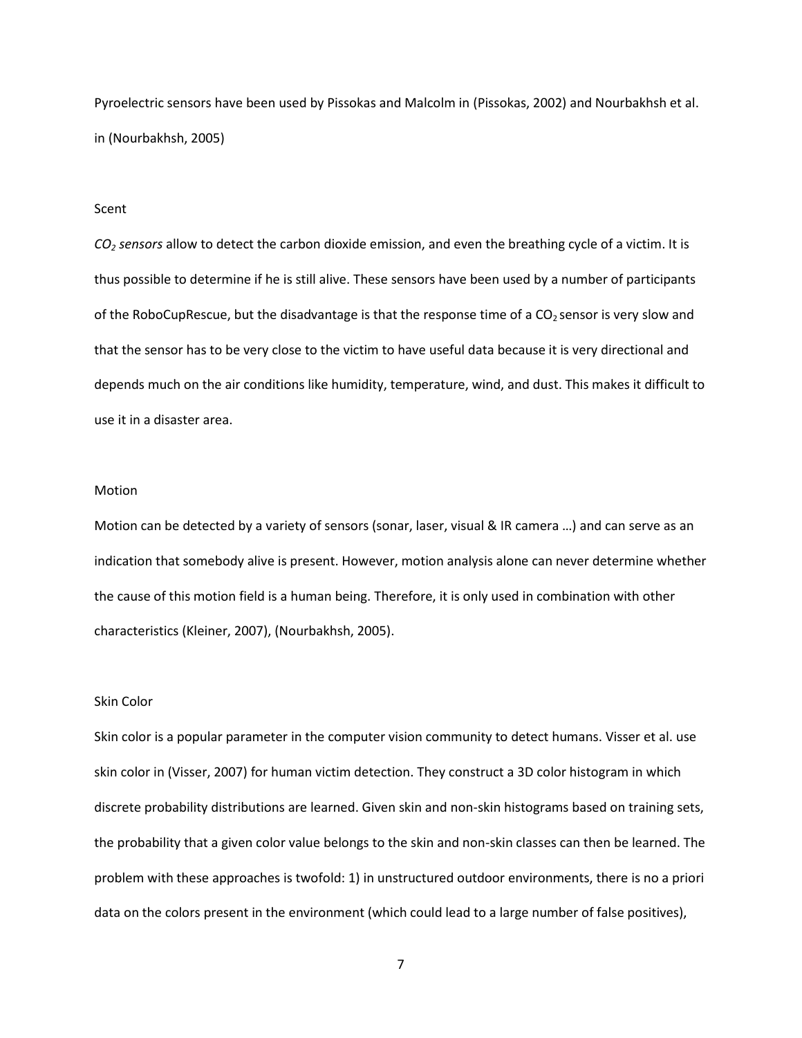Pyroelectric sensors have been used by Pissokas and Malcolm in (Pissokas, 2002) and Nourbakhsh et al. in (Nourbakhsh, 2005)

# Scent

*CO<sup>2</sup> sensors* allow to detect the carbon dioxide emission, and even the breathing cycle of a victim. It is thus possible to determine if he is still alive. These sensors have been used by a number of participants of the RoboCupRescue, but the disadvantage is that the response time of a  $CO<sub>2</sub>$  sensor is very slow and that the sensor has to be very close to the victim to have useful data because it is very directional and depends much on the air conditions like humidity, temperature, wind, and dust. This makes it difficult to use it in a disaster area.

# Motion

Motion can be detected by a variety of sensors (sonar, laser, visual & IR camera …) and can serve as an indication that somebody alive is present. However, motion analysis alone can never determine whether the cause of this motion field is a human being. Therefore, it is only used in combination with other characteristics (Kleiner, 2007), (Nourbakhsh, 2005).

# Skin Color

Skin color is a popular parameter in the computer vision community to detect humans. Visser et al. use skin color in (Visser, 2007) for human victim detection. They construct a 3D color histogram in which discrete probability distributions are learned. Given skin and non-skin histograms based on training sets, the probability that a given color value belongs to the skin and non-skin classes can then be learned. The problem with these approaches is twofold: 1) in unstructured outdoor environments, there is no a priori data on the colors present in the environment (which could lead to a large number of false positives),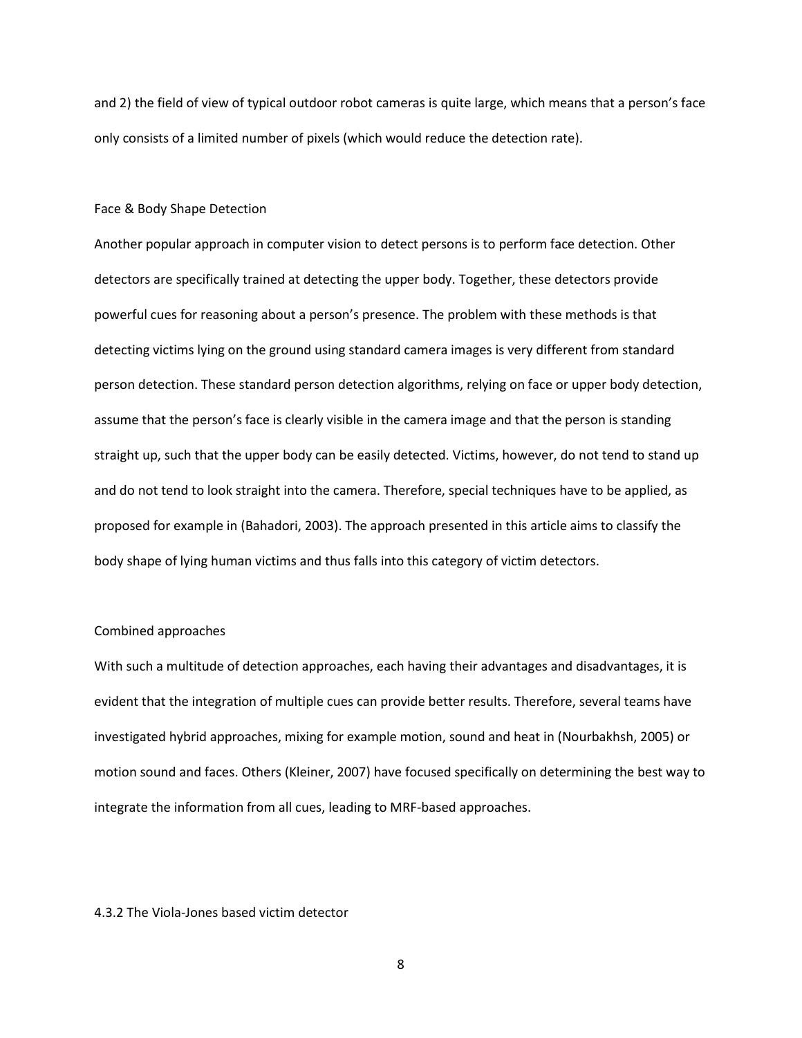and 2) the field of view of typical outdoor robot cameras is quite large, which means that a person's face only consists of a limited number of pixels (which would reduce the detection rate).

## Face & Body Shape Detection

Another popular approach in computer vision to detect persons is to perform face detection. Other detectors are specifically trained at detecting the upper body. Together, these detectors provide powerful cues for reasoning about a person's presence. The problem with these methods is that detecting victims lying on the ground using standard camera images is very different from standard person detection. These standard person detection algorithms, relying on face or upper body detection, assume that the person's face is clearly visible in the camera image and that the person is standing straight up, such that the upper body can be easily detected. Victims, however, do not tend to stand up and do not tend to look straight into the camera. Therefore, special techniques have to be applied, as proposed for example in (Bahadori, 2003). The approach presented in this article aims to classify the body shape of lying human victims and thus falls into this category of victim detectors.

# Combined approaches

With such a multitude of detection approaches, each having their advantages and disadvantages, it is evident that the integration of multiple cues can provide better results. Therefore, several teams have investigated hybrid approaches, mixing for example motion, sound and heat in (Nourbakhsh, 2005) or motion sound and faces. Others (Kleiner, 2007) have focused specifically on determining the best way to integrate the information from all cues, leading to MRF-based approaches.

#### 4.3.2 The Viola-Jones based victim detector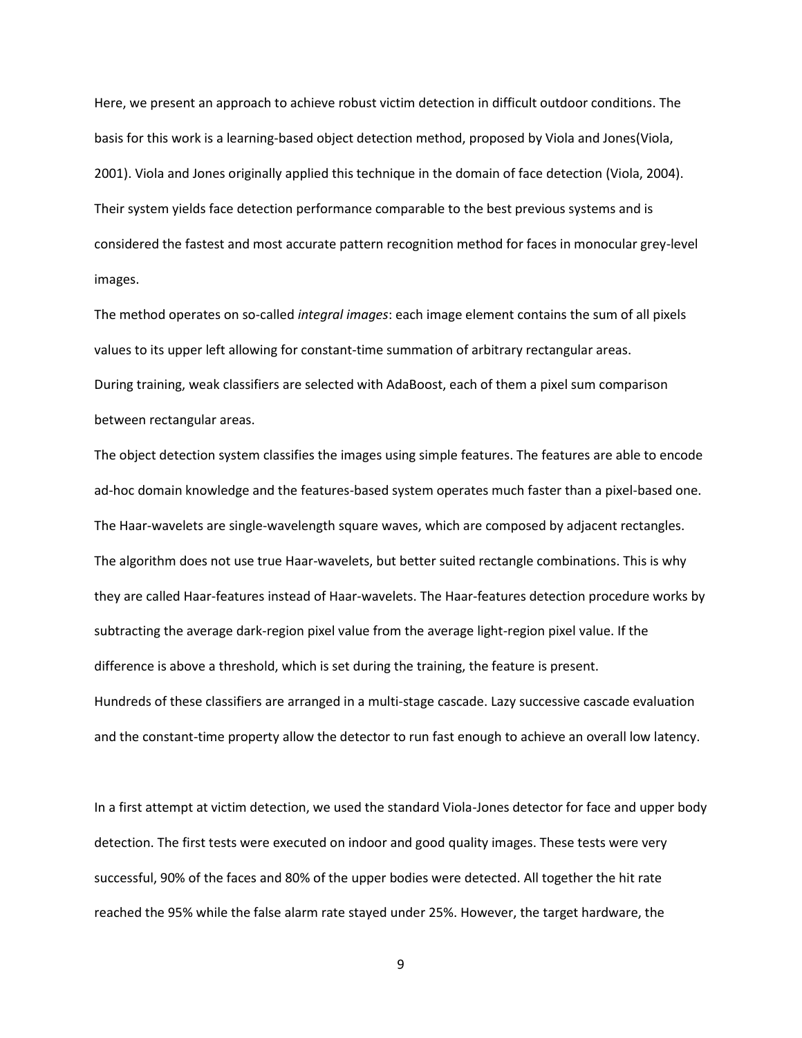Here, we present an approach to achieve robust victim detection in difficult outdoor conditions. The basis for this work is a learning-based object detection method, proposed by Viola and Jones(Viola, 2001). Viola and Jones originally applied this technique in the domain of face detection (Viola, 2004). Their system yields face detection performance comparable to the best previous systems and is considered the fastest and most accurate pattern recognition method for faces in monocular grey-level images.

The method operates on so-called *integral images*: each image element contains the sum of all pixels values to its upper left allowing for constant-time summation of arbitrary rectangular areas. During training, weak classifiers are selected with AdaBoost, each of them a pixel sum comparison between rectangular areas.

The object detection system classifies the images using simple features. The features are able to encode ad-hoc domain knowledge and the features-based system operates much faster than a pixel-based one. The Haar-wavelets are single-wavelength square waves, which are composed by adjacent rectangles. The algorithm does not use true Haar-wavelets, but better suited rectangle combinations. This is why they are called Haar-features instead of Haar-wavelets. The Haar-features detection procedure works by subtracting the average dark-region pixel value from the average light-region pixel value. If the difference is above a threshold, which is set during the training, the feature is present. Hundreds of these classifiers are arranged in a multi-stage cascade. Lazy successive cascade evaluation and the constant-time property allow the detector to run fast enough to achieve an overall low latency.

In a first attempt at victim detection, we used the standard Viola-Jones detector for face and upper body detection. The first tests were executed on indoor and good quality images. These tests were very successful, 90% of the faces and 80% of the upper bodies were detected. All together the hit rate reached the 95% while the false alarm rate stayed under 25%. However, the target hardware, the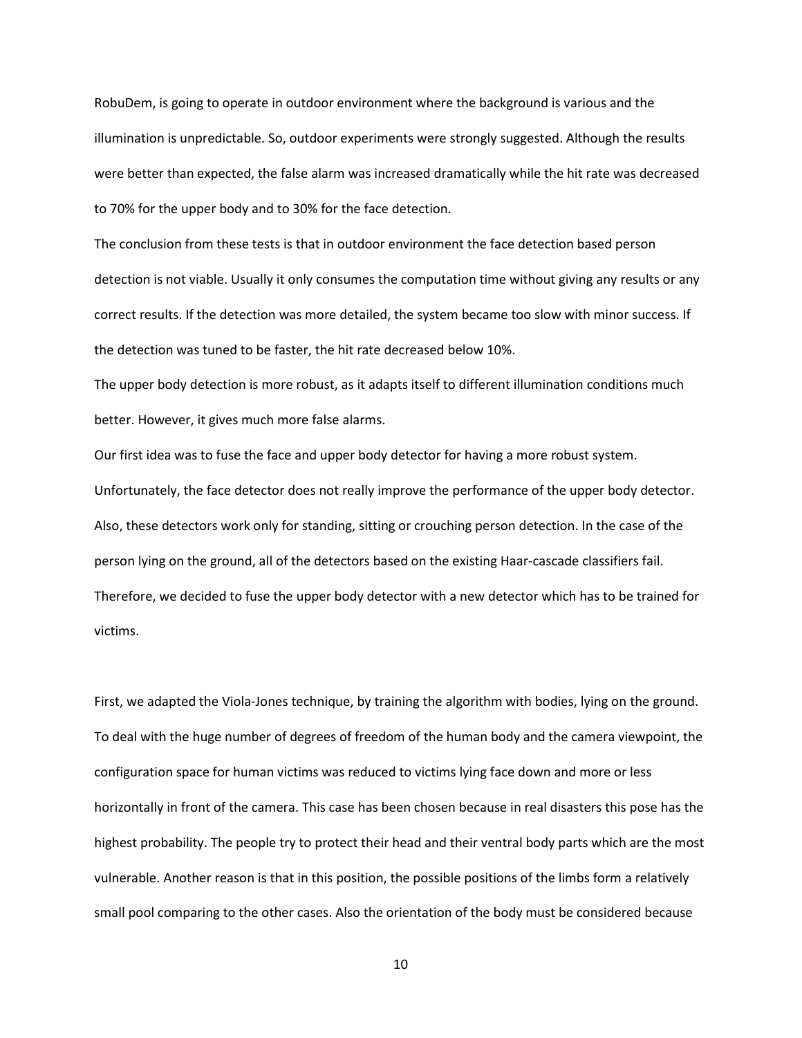RobuDem, is going to operate in outdoor environment where the background is various and the illumination is unpredictable. So, outdoor experiments were strongly suggested. Although the results were better than expected, the false alarm was increased dramatically while the hit rate was decreased to 70% for the upper body and to 30% for the face detection.

The conclusion from these tests is that in outdoor environment the face detection based person detection is not viable. Usually it only consumes the computation time without giving any results or any correct results. If the detection was more detailed, the system became too slow with minor success. If the detection was tuned to be faster, the hit rate decreased below 10%.

The upper body detection is more robust, as it adapts itself to different illumination conditions much better. However, it gives much more false alarms.

Our first idea was to fuse the face and upper body detector for having a more robust system. Unfortunately, the face detector does not really improve the performance of the upper body detector. Also, these detectors work only for standing, sitting or crouching person detection. In the case of the person lying on the ground, all of the detectors based on the existing Haar-cascade classifiers fail. Therefore, we decided to fuse the upper body detector with a new detector which has to be trained for victims.

First, we adapted the Viola-Jones technique, by training the algorithm with bodies, lying on the ground. To deal with the huge number of degrees of freedom of the human body and the camera viewpoint, the configuration space for human victims was reduced to victims lying face down and more or less horizontally in front of the camera. This case has been chosen because in real disasters this pose has the highest probability. The people try to protect their head and their ventral body parts which are the most vulnerable. Another reason is that in this position, the possible positions of the limbs form a relatively small pool comparing to the other cases. Also the orientation of the body must be considered because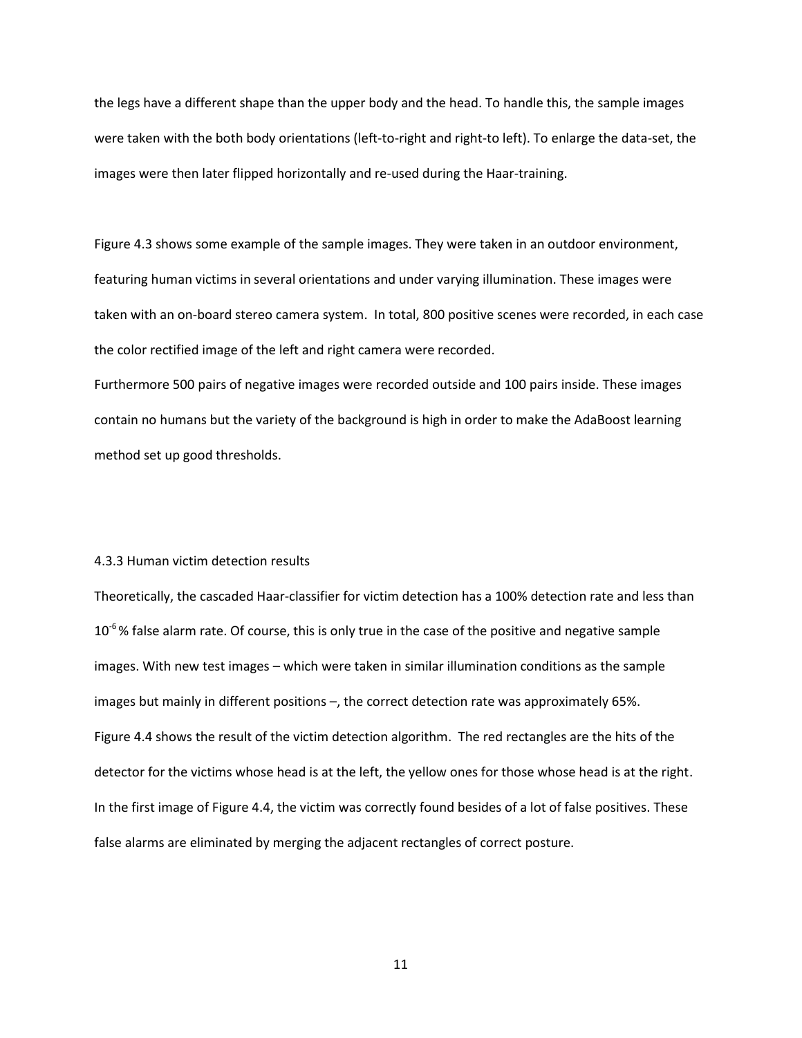the legs have a different shape than the upper body and the head. To handle this, the sample images were taken with the both body orientations (left-to-right and right-to left). To enlarge the data-set, the images were then later flipped horizontally and re-used during the Haar-training.

Figure 4.3 shows some example of the sample images. They were taken in an outdoor environment, featuring human victims in several orientations and under varying illumination. These images were taken with an on-board stereo camera system. In total, 800 positive scenes were recorded, in each case the color rectified image of the left and right camera were recorded.

Furthermore 500 pairs of negative images were recorded outside and 100 pairs inside. These images contain no humans but the variety of the background is high in order to make the AdaBoost learning method set up good thresholds.

# 4.3.3 Human victim detection results

Theoretically, the cascaded Haar‐classifier for victim detection has a 100% detection rate and less than  $10^{-6}$ % false alarm rate. Of course, this is only true in the case of the positive and negative sample images. With new test images – which were taken in similar illumination conditions as the sample images but mainly in different positions –, the correct detection rate was approximately 65%. Figure 4.4 shows the result of the victim detection algorithm. The red rectangles are the hits of the detector for the victims whose head is at the left, the yellow ones for those whose head is at the right. In the first image of Figure 4.4, the victim was correctly found besides of a lot of false positives. These false alarms are eliminated by merging the adjacent rectangles of correct posture.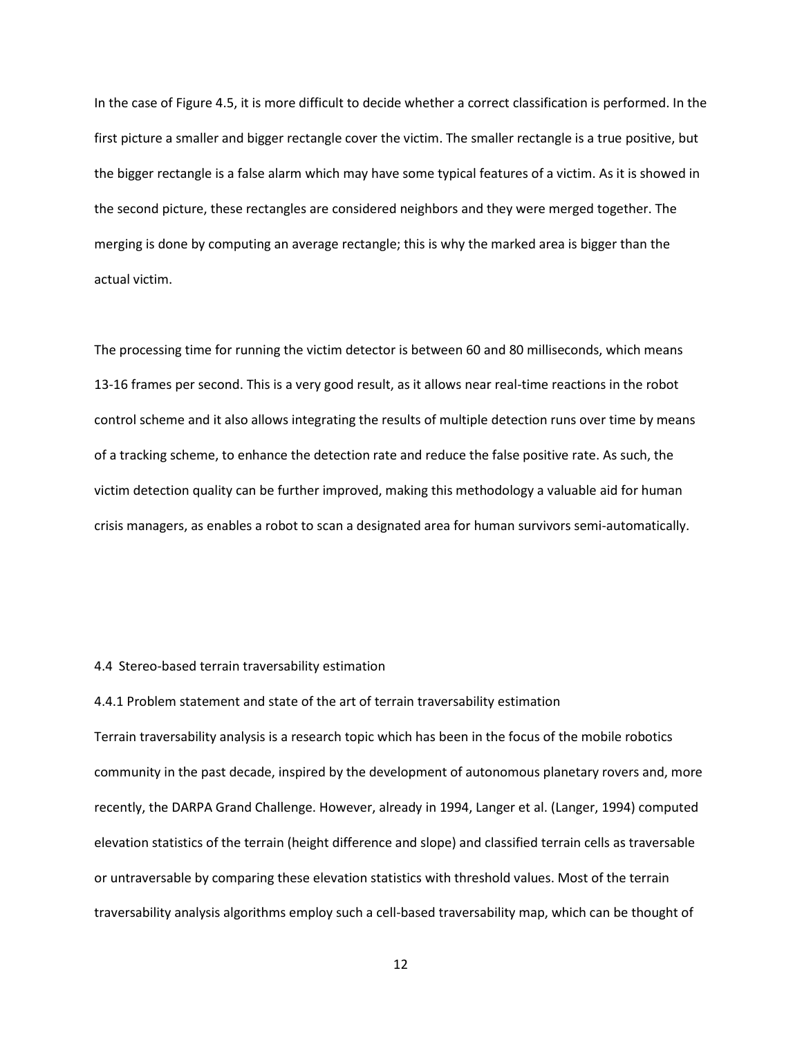In the case of Figure 4.5, it is more difficult to decide whether a correct classification is performed. In the first picture a smaller and bigger rectangle cover the victim. The smaller rectangle is a true positive, but the bigger rectangle is a false alarm which may have some typical features of a victim. As it is showed in the second picture, these rectangles are considered neighbors and they were merged together. The merging is done by computing an average rectangle; this is why the marked area is bigger than the actual victim.

The processing time for running the victim detector is between 60 and 80 milliseconds, which means 13‐16 frames per second. This is a very good result, as it allows near real-time reactions in the robot control scheme and it also allows integrating the results of multiple detection runs over time by means of a tracking scheme, to enhance the detection rate and reduce the false positive rate. As such, the victim detection quality can be further improved, making this methodology a valuable aid for human crisis managers, as enables a robot to scan a designated area for human survivors semi-automatically.

#### 4.4 Stereo-based terrain traversability estimation

4.4.1 Problem statement and state of the art of terrain traversability estimation Terrain traversability analysis is a research topic which has been in the focus of the mobile robotics community in the past decade, inspired by the development of autonomous planetary rovers and, more recently, the DARPA Grand Challenge. However, already in 1994, Langer et al. (Langer, 1994) computed elevation statistics of the terrain (height difference and slope) and classified terrain cells as traversable or untraversable by comparing these elevation statistics with threshold values. Most of the terrain traversability analysis algorithms employ such a cell-based traversability map, which can be thought of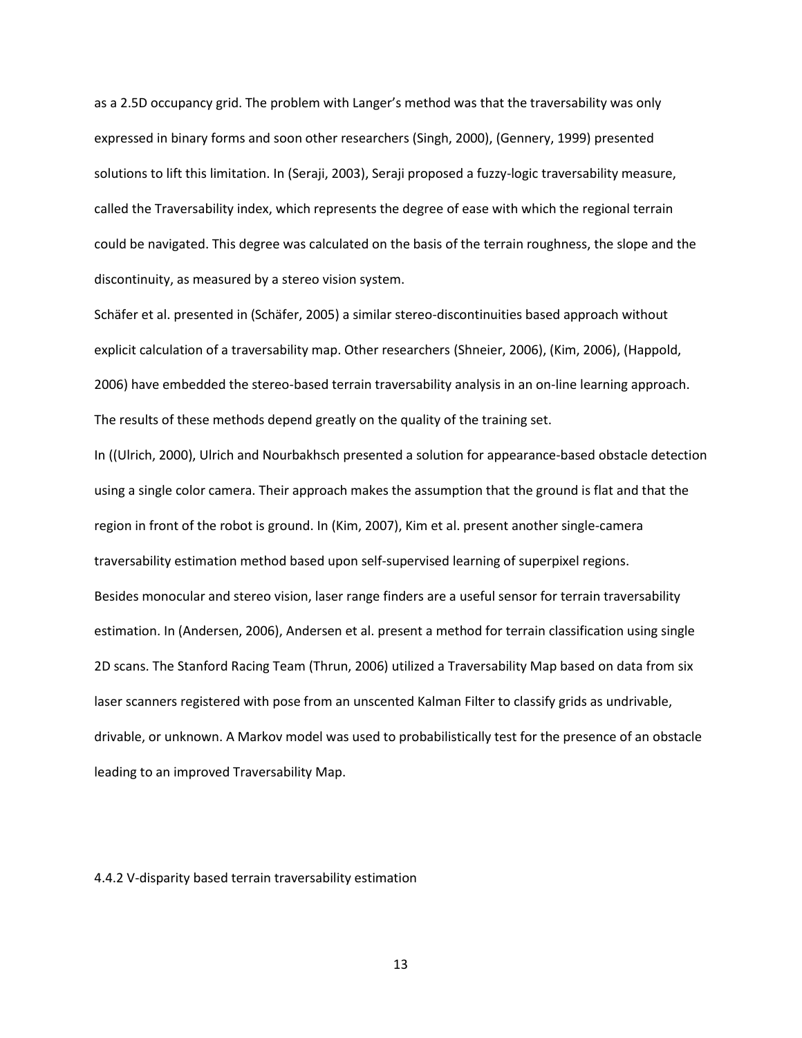as a 2.5D occupancy grid. The problem with Langer's method was that the traversability was only expressed in binary forms and soon other researchers (Singh, 2000), (Gennery, 1999) presented solutions to lift this limitation. In (Seraji, 2003), Seraji proposed a fuzzy-logic traversability measure, called the Traversability index, which represents the degree of ease with which the regional terrain could be navigated. This degree was calculated on the basis of the terrain roughness, the slope and the discontinuity, as measured by a stereo vision system.

Schäfer et al. presented in (Schäfer, 2005) a similar stereo-discontinuities based approach without explicit calculation of a traversability map. Other researchers (Shneier, 2006), (Kim, 2006), (Happold, 2006) have embedded the stereo-based terrain traversability analysis in an on-line learning approach. The results of these methods depend greatly on the quality of the training set.

In ((Ulrich, 2000), Ulrich and Nourbakhsch presented a solution for appearance-based obstacle detection using a single color camera. Their approach makes the assumption that the ground is flat and that the region in front of the robot is ground. In (Kim, 2007), Kim et al. present another single-camera traversability estimation method based upon self-supervised learning of superpixel regions. Besides monocular and stereo vision, laser range finders are a useful sensor for terrain traversability estimation. In (Andersen, 2006), Andersen et al. present a method for terrain classification using single 2D scans. The Stanford Racing Team (Thrun, 2006) utilized a Traversability Map based on data from six laser scanners registered with pose from an unscented Kalman Filter to classify grids as undrivable, drivable, or unknown. A Markov model was used to probabilistically test for the presence of an obstacle leading to an improved Traversability Map.

# 4.4.2 V-disparity based terrain traversability estimation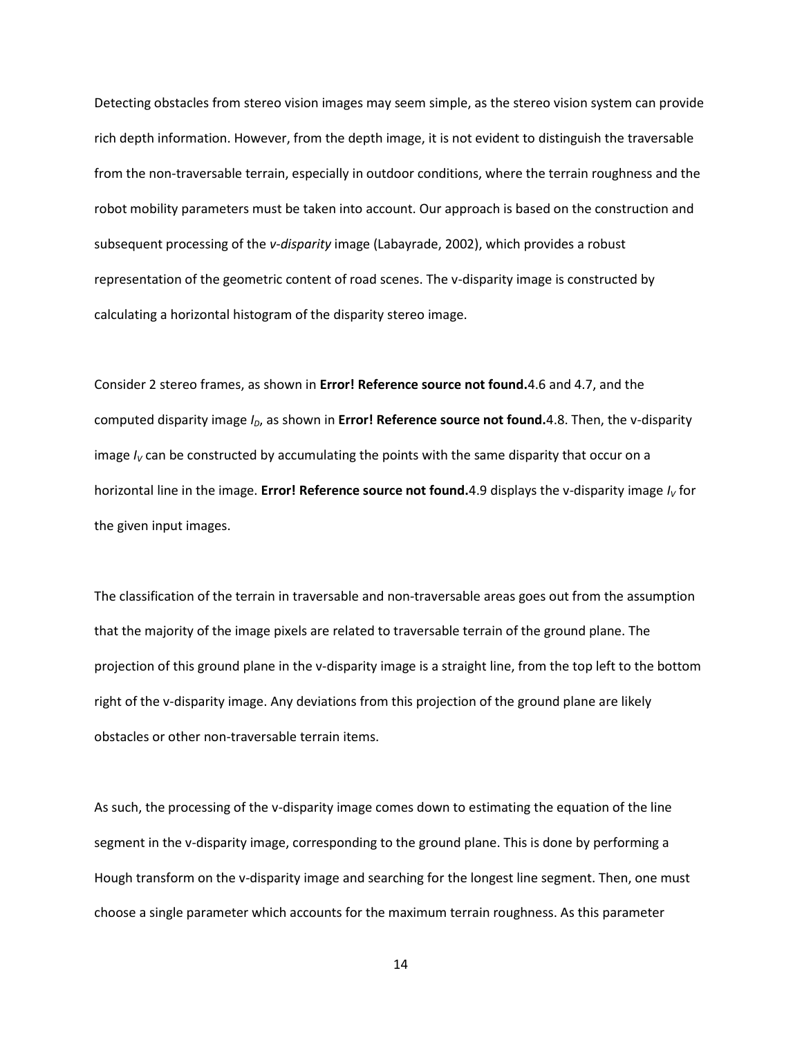Detecting obstacles from stereo vision images may seem simple, as the stereo vision system can provide rich depth information. However, from the depth image, it is not evident to distinguish the traversable from the non-traversable terrain, especially in outdoor conditions, where the terrain roughness and the robot mobility parameters must be taken into account. Our approach is based on the construction and subsequent processing of the *v-disparity* image (Labayrade, 2002), which provides a robust representation of the geometric content of road scenes. The v-disparity image is constructed by calculating a horizontal histogram of the disparity stereo image.

Consider 2 stereo frames, as shown in **Error! Reference source not found.**4.6 and 4.7, and the computed disparity image *ID*, as shown in **Error! Reference source not found.**4.8. Then, the v-disparity image  $I_V$  can be constructed by accumulating the points with the same disparity that occur on a horizontal line in the image. **Error! Reference source not found.**4.9 displays the v-disparity image *I<sup>V</sup>* for the given input images.

The classification of the terrain in traversable and non-traversable areas goes out from the assumption that the majority of the image pixels are related to traversable terrain of the ground plane. The projection of this ground plane in the v-disparity image is a straight line, from the top left to the bottom right of the v-disparity image. Any deviations from this projection of the ground plane are likely obstacles or other non-traversable terrain items.

As such, the processing of the v-disparity image comes down to estimating the equation of the line segment in the v-disparity image, corresponding to the ground plane. This is done by performing a Hough transform on the v-disparity image and searching for the longest line segment. Then, one must choose a single parameter which accounts for the maximum terrain roughness. As this parameter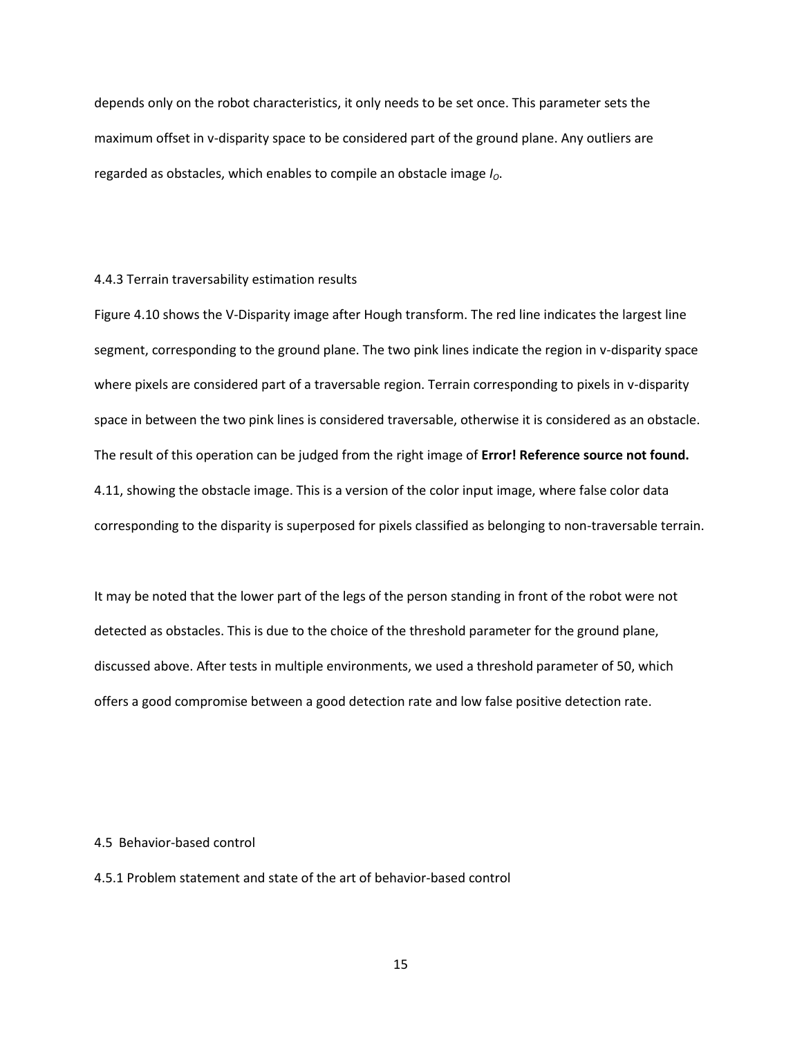depends only on the robot characteristics, it only needs to be set once. This parameter sets the maximum offset in v-disparity space to be considered part of the ground plane. Any outliers are regarded as obstacles, which enables to compile an obstacle image *IO*.

# 4.4.3 Terrain traversability estimation results

Figure 4.10 shows the V-Disparity image after Hough transform. The red line indicates the largest line segment, corresponding to the ground plane. The two pink lines indicate the region in v-disparity space where pixels are considered part of a traversable region. Terrain corresponding to pixels in v-disparity space in between the two pink lines is considered traversable, otherwise it is considered as an obstacle. The result of this operation can be judged from the right image of **Error! Reference source not found.** 4.11, showing the obstacle image. This is a version of the color input image, where false color data corresponding to the disparity is superposed for pixels classified as belonging to non-traversable terrain.

It may be noted that the lower part of the legs of the person standing in front of the robot were not detected as obstacles. This is due to the choice of the threshold parameter for the ground plane, discussed above. After tests in multiple environments, we used a threshold parameter of 50, which offers a good compromise between a good detection rate and low false positive detection rate.

# 4.5 Behavior-based control

4.5.1 Problem statement and state of the art of behavior-based control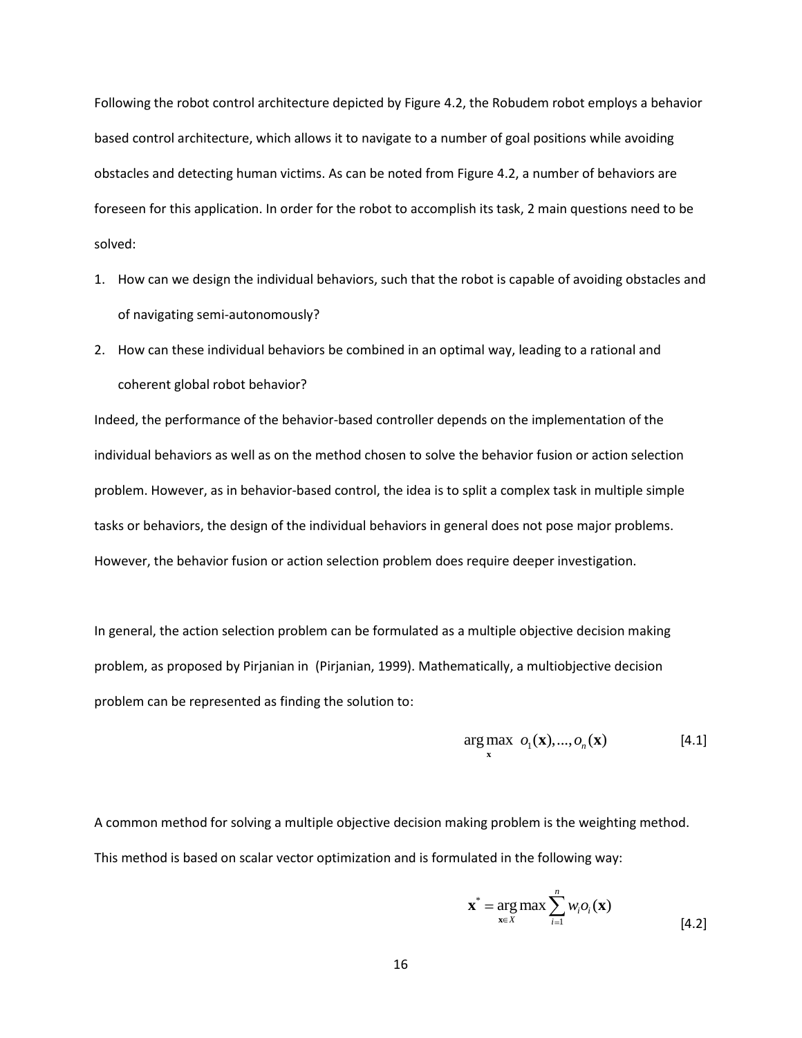Following the robot control architecture depicted by Figure 4.2, the Robudem robot employs a behavior based control architecture, which allows it to navigate to a number of goal positions while avoiding obstacles and detecting human victims. As can be noted from Figure 4.2, a number of behaviors are foreseen for this application. In order for the robot to accomplish its task, 2 main questions need to be solved:

- 1. How can we design the individual behaviors, such that the robot is capable of avoiding obstacles and of navigating semi-autonomously?
- 2. How can these individual behaviors be combined in an optimal way, leading to a rational and coherent global robot behavior?

Indeed, the performance of the behavior-based controller depends on the implementation of the individual behaviors as well as on the method chosen to solve the behavior fusion or action selection problem. However, as in behavior-based control, the idea is to split a complex task in multiple simple tasks or behaviors, the design of the individual behaviors in general does not pose major problems. However, the behavior fusion or action selection problem does require deeper investigation.

In general, the action selection problem can be formulated as a multiple objective decision making problem, as proposed by Pirjanian in (Pirjanian, 1999). Mathematically, a multiobjective decision problem can be represented as finding the solution to:

$$
\underset{\mathbf{x}}{\arg \max} \ \ o_{1}(\mathbf{x}),...,o_{n}(\mathbf{x}) \tag{4.1}
$$

A common method for solving a multiple objective decision making problem is the weighting method. This method is based on scalar vector optimization and is formulated in the following way:

$$
\mathbf{x}^* = \underset{\mathbf{x} \in X}{\arg \max} \sum_{i=1}^n w_i o_i(\mathbf{x})
$$
 [4.2]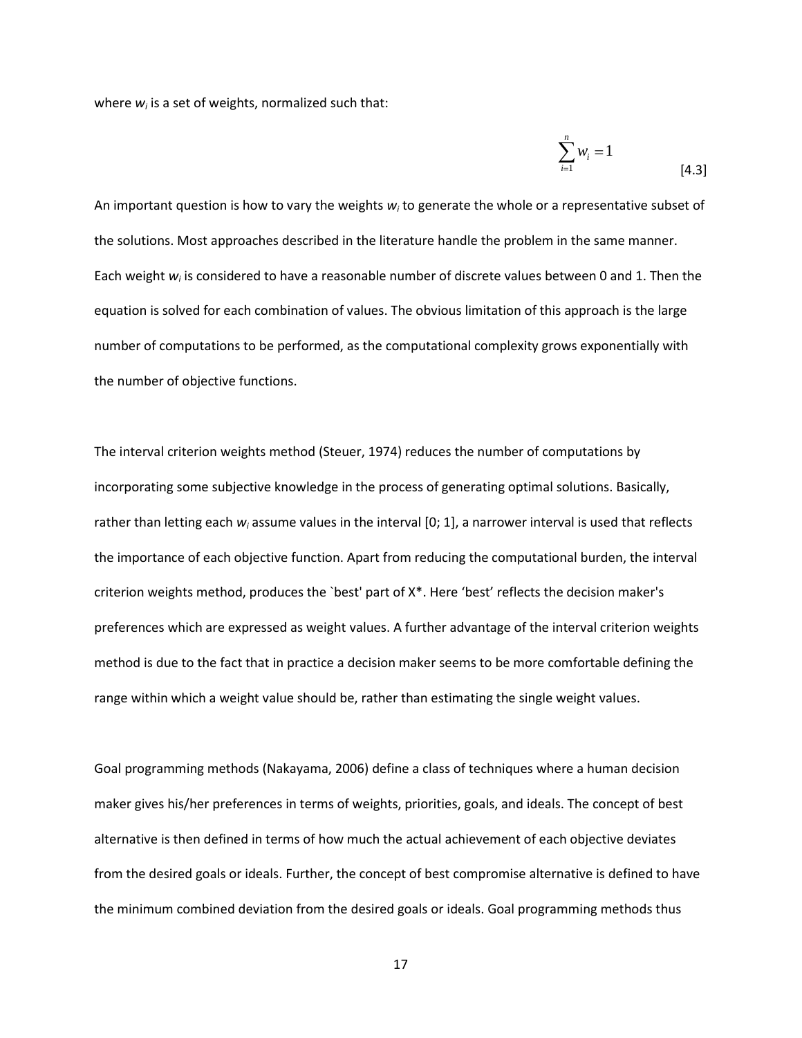where  $w_i$  is a set of weights, normalized such that:

$$
\sum_{i=1}^{n} w_i = 1
$$
\n
$$
[4.3]
$$

An important question is how to vary the weights *w<sup>i</sup>* to generate the whole or a representative subset of the solutions. Most approaches described in the literature handle the problem in the same manner. Each weight  $w_i$  is considered to have a reasonable number of discrete values between 0 and 1. Then the equation is solved for each combination of values. The obvious limitation of this approach is the large number of computations to be performed, as the computational complexity grows exponentially with the number of objective functions.

The interval criterion weights method (Steuer, 1974) reduces the number of computations by incorporating some subjective knowledge in the process of generating optimal solutions. Basically, rather than letting each *w<sup>i</sup>* assume values in the interval [0; 1], a narrower interval is used that reflects the importance of each objective function. Apart from reducing the computational burden, the interval criterion weights method, produces the `best' part of X\*. Here 'best' reflects the decision maker's preferences which are expressed as weight values. A further advantage of the interval criterion weights method is due to the fact that in practice a decision maker seems to be more comfortable defining the range within which a weight value should be, rather than estimating the single weight values.

Goal programming methods (Nakayama, 2006) define a class of techniques where a human decision maker gives his/her preferences in terms of weights, priorities, goals, and ideals. The concept of best alternative is then defined in terms of how much the actual achievement of each objective deviates from the desired goals or ideals. Further, the concept of best compromise alternative is defined to have the minimum combined deviation from the desired goals or ideals. Goal programming methods thus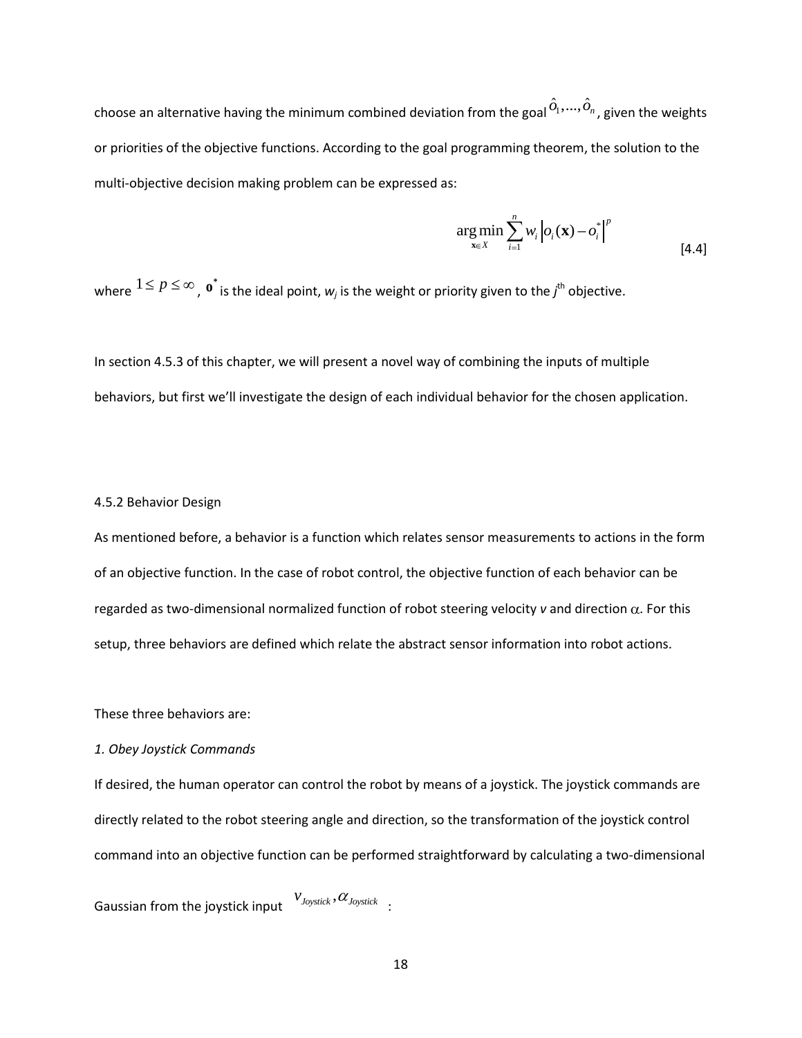choose an alternative having the minimum combined deviation from the goal  $\hat{O}_1, ..., \hat{O}_n$  , given the weights or priorities of the objective functions. According to the goal programming theorem, the solution to the multi-objective decision making problem can be expressed as:

$$
\underset{\mathbf{x}\in X}{\arg\min} \sum_{i=1}^{n} w_i \left| o_i(\mathbf{x}) - o_i^* \right|^p \tag{4.4}
$$

where  $1\leq p\leq \infty$  ,  $\mathbf{o}^*$  is the ideal point,  $w_j$  is the weight or priority given to the  $j^{\text{th}}$  objective.

In section 4.5.3 of this chapter, we will present a novel way of combining the inputs of multiple behaviors, but first we'll investigate the design of each individual behavior for the chosen application.

# 4.5.2 Behavior Design

As mentioned before, a behavior is a function which relates sensor measurements to actions in the form of an objective function. In the case of robot control, the objective function of each behavior can be regarded as two-dimensional normalized function of robot steering velocity  $v$  and direction  $\alpha$ . For this setup, three behaviors are defined which relate the abstract sensor information into robot actions.

These three behaviors are:

# *1. Obey Joystick Commands*

If desired, the human operator can control the robot by means of a joystick. The joystick commands are directly related to the robot steering angle and direction, so the transformation of the joystick control command into an objective function can be performed straightforward by calculating a two-dimensional

Gaussian from the joystick input  $v_{Joystick}, \alpha_{Joystick}$  :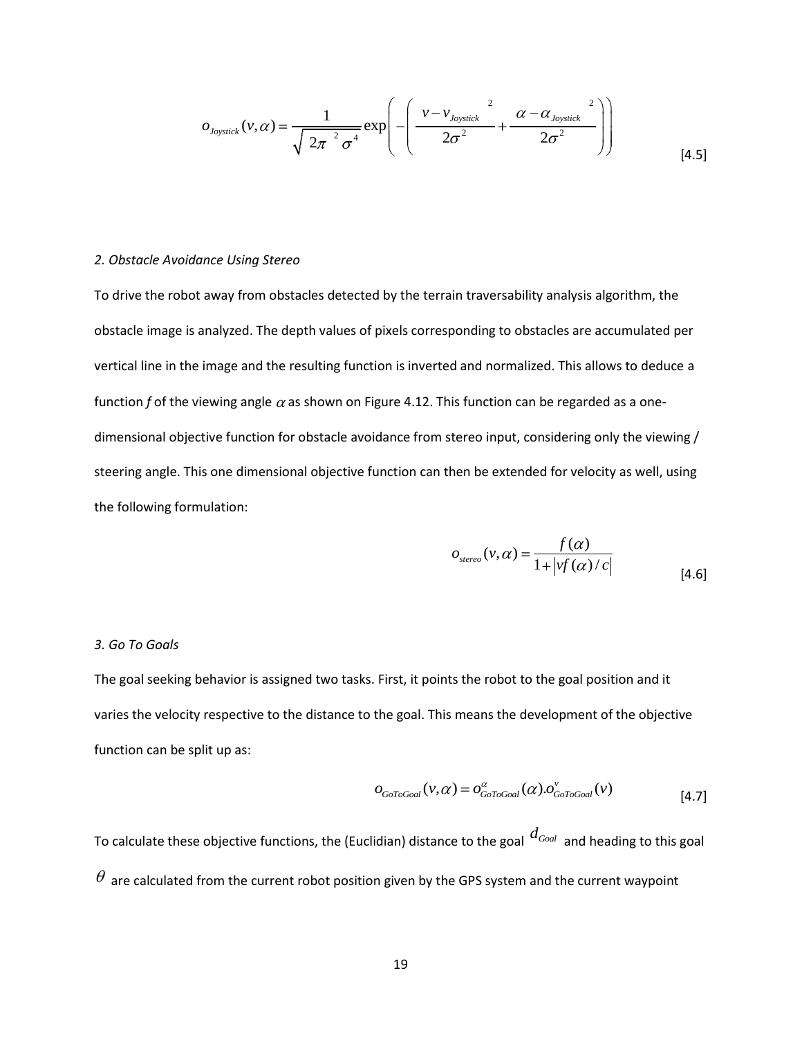$$
O_{Joystick}(v, \alpha) = \frac{1}{\sqrt{2\pi^2 \sigma^4}} exp\left(-\left(\frac{v - v_{Joystick}^2}{2\sigma^2} + \frac{\alpha - \alpha_{Joystick}^2}{2\sigma^2}\right)\right)
$$
 [4.5]

#### *2. Obstacle Avoidance Using Stereo*

 $\left(-\left(\frac{v-v_{Joyntick}}{2\sigma^2} + \frac{\alpha - \alpha_{Joyntick}}{2\sigma^2}\right)\right]$ <br>
the terrain traversability analysis<br>
els corresponding to obstacles are<br>
is inverted and normalized. This ale<br>
e 4.12. This function can be regard<br>
no extended for veloc To drive the robot away from obstacles detected by the terrain traversability analysis algorithm, the obstacle image is analyzed. The depth values of pixels corresponding to obstacles are accumulated per vertical line in the image and the resulting function is inverted and normalized. This allows to deduce a function  $f$  of the viewing angle  $\alpha$  as shown on Figure 4.12. This function can be regarded as a onedimensional objective function for obstacle avoidance from stereo input, considering only the viewing / steering angle. This one dimensional objective function can then be extended for velocity as well, using the following formulation:

$$
o_{\text{stereo}}(v,\alpha) = \frac{f(\alpha)}{1+|vf(\alpha)/c|}
$$
 [4.6]

# *3. Go To Goals*

The goal seeking behavior is assigned two tasks. First, it points the robot to the goal position and it varies the velocity respective to the distance to the goal. This means the development of the objective function can be split up as:

$$
o_{GoToGoal}(v, \alpha) = o_{GoToGoal}^{\alpha}(\alpha).o_{GoToGoal}^{v}(v)
$$
\n[4.7]

To calculate these objective functions, the (Euclidian) distance to the goal  $d_{\text{Goal}}$  and heading to this goal  $\theta$  are calculated from the current robot position given by the GPS system and the current waypoint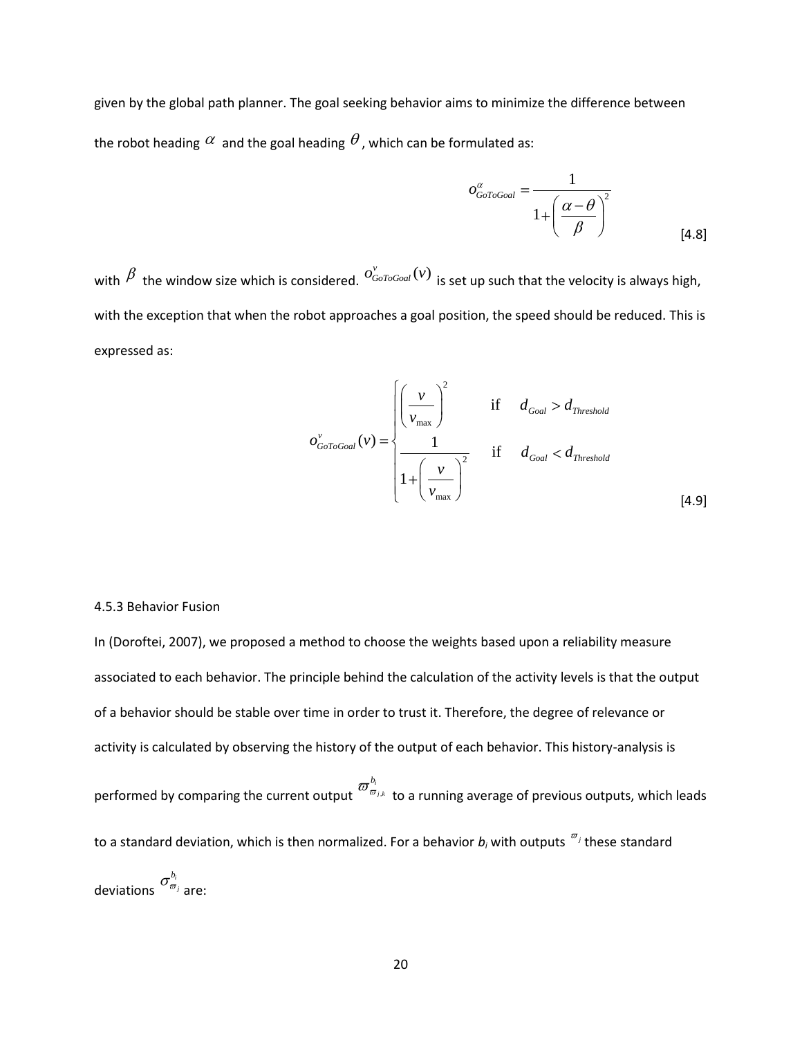given by the global path planner. The goal seeking behavior aims to minimize the difference between the robot heading  $\alpha$  and the goal heading  $\theta$ , which can be formulated as:

$$
o_{G \circ T o G o a l}^{\alpha} = \frac{1}{1 + \left(\frac{\alpha - \theta}{\beta}\right)^2}
$$
 [4.8]

with  $\beta$  the window size which is considered.  $o_{G \sigma I o G o a l}^{\nu}(v)$  is set up such that the velocity is always high, with the exception that when the robot approaches a goal position, the speed should be reduced. This is expressed as:

$$
o_{GoToGoal}^{v}(v) = \begin{cases} \left(\frac{v}{v_{\text{max}}}\right)^2 & \text{if } d_{Goal} > d_{Threshold} \\ \frac{1}{1 + \left(\frac{v}{v_{\text{max}}}\right)^2} & \text{if } d_{Goal} < d_{Threshold} \\ \end{cases}
$$
 [4.9]

#### 4.5.3 Behavior Fusion

In (Doroftei, 2007), we proposed a method to choose the weights based upon a reliability measure associated to each behavior. The principle behind the calculation of the activity levels is that the output of a behavior should be stable over time in order to trust it. Therefore, the degree of relevance or activity is calculated by observing the history of the output of each behavior. This history-analysis is performed by comparing the current output  $\sqrt[\infty]{\sigma_j}$ . *i j k b* to a running average of previous outputs, which leads to a standard deviation, which is then normalized. For a behavior  $b_i$  with outputs  $\sqrt[p_i]{b}$  these standard deviations  $\sigma_{\bar \omega}^{\scriptscriptstyle \nu_i}$ *j b* are: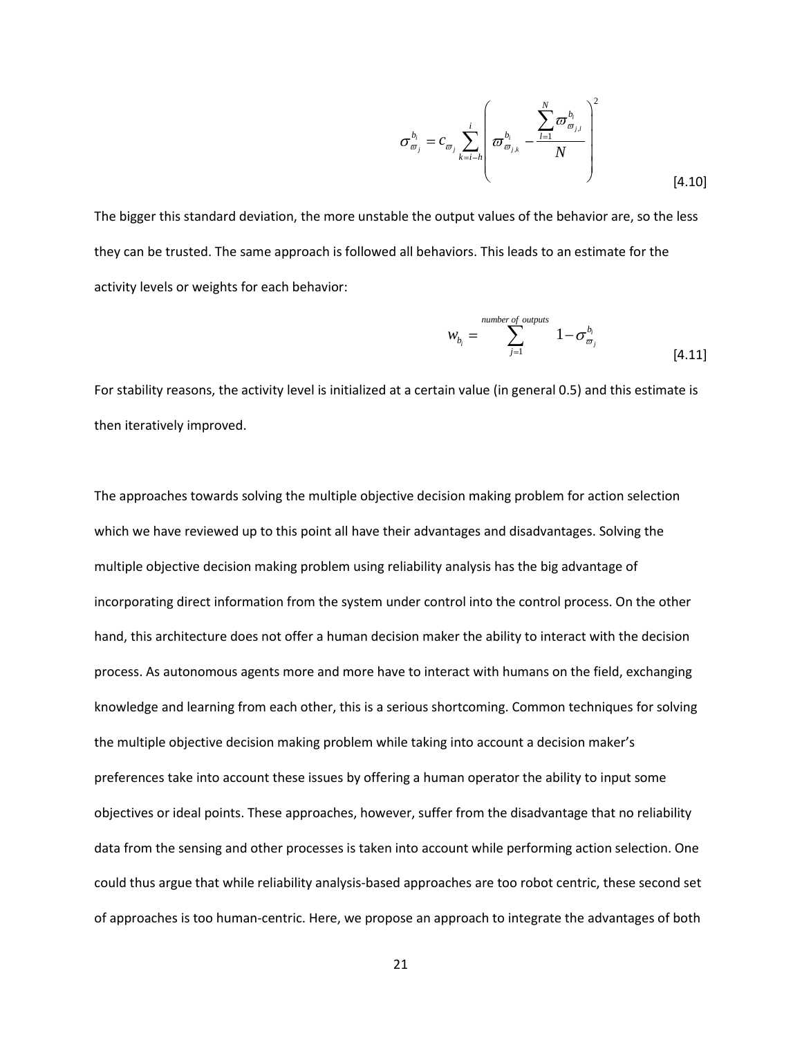$$
\sigma_{\varpi_{j}}^{b_{i}} = c_{\varpi_{j}} \sum_{k=i-h}^{i} \left( \varpi_{\varpi_{j,k}}^{b_{i}} - \frac{\sum_{l=1}^{N} \varpi_{\varpi_{j,l}}^{b_{i}}}{N} \right)^{2}
$$
\n
$$
\tag{4.10}
$$

The bigger this standard deviation, the more unstable the output values of the behavior are, so the less they can be trusted. The same approach is followed all behaviors. This leads to an estimate for the activity levels or weights for each behavior:

$$
w_{b_i} = \sum_{j=1}^{number\ of\ outputs} 1 - \sigma_{\varpi_j}^{b_i}
$$
 [4.11]

For stability reasons, the activity level is initialized at a certain value (in general 0.5) and this estimate is then iteratively improved.

The approaches towards solving the multiple objective decision making problem for action selection which we have reviewed up to this point all have their advantages and disadvantages. Solving the multiple objective decision making problem using reliability analysis has the big advantage of incorporating direct information from the system under control into the control process. On the other hand, this architecture does not offer a human decision maker the ability to interact with the decision process. As autonomous agents more and more have to interact with humans on the field, exchanging knowledge and learning from each other, this is a serious shortcoming. Common techniques for solving the multiple objective decision making problem while taking into account a decision maker's preferences take into account these issues by offering a human operator the ability to input some objectives or ideal points. These approaches, however, suffer from the disadvantage that no reliability data from the sensing and other processes is taken into account while performing action selection. One could thus argue that while reliability analysis-based approaches are too robot centric, these second set of approaches is too human-centric. Here, we propose an approach to integrate the advantages of both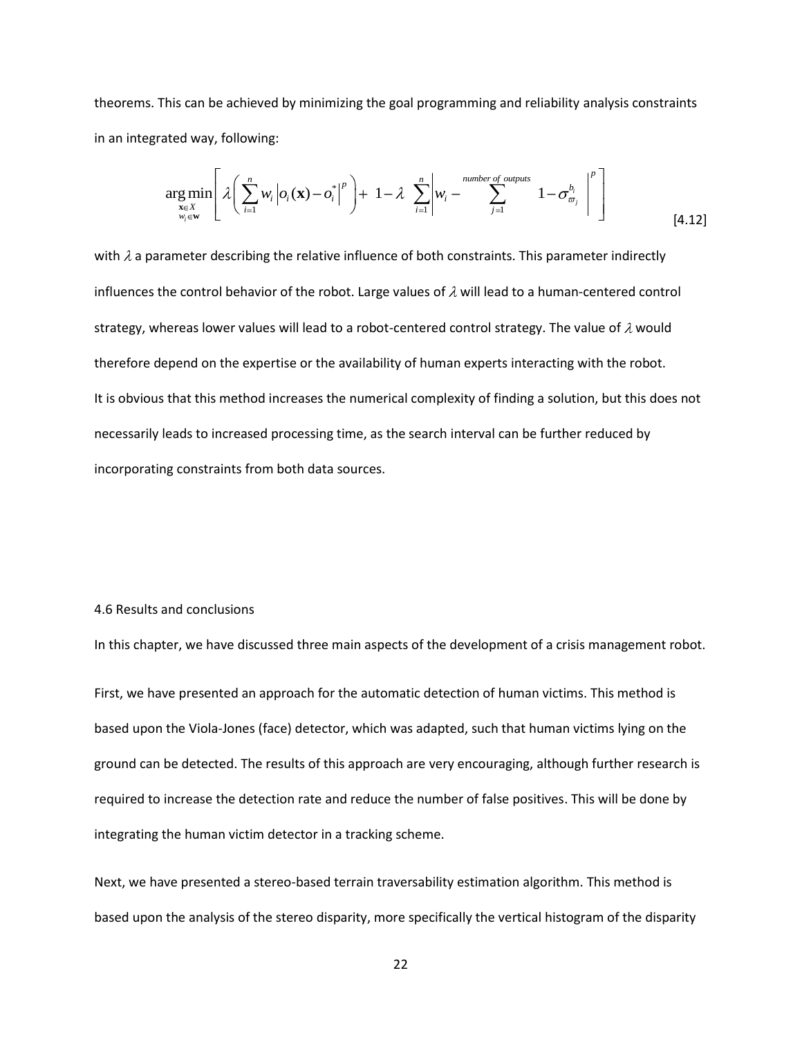theorems. This can be achieved by minimizing the goal programming and reliability analysis constraints in an integrated way, following:

Ited way, following:

\n
$$
\arg\min_{\mathbf{x} \in X} \left[ \lambda \left( \sum_{i=1}^{n} w_i \left| o_i(\mathbf{x}) - o_i^* \right|^p \right) + 1 - \lambda \sum_{i=1}^{n} \left| w_i - \sum_{j=1}^{number \ of \ outputs} 1 - \sigma_{\varpi_j}^{b_i} \right|^p \right]
$$
\n[4.12]

with  $\lambda$  a parameter describing the relative influence of both constraints. This parameter indirectly influences the control behavior of the robot. Large values of  $\lambda$  will lead to a human-centered control strategy, whereas lower values will lead to a robot-centered control strategy. The value of  $\lambda$  would therefore depend on the expertise or the availability of human experts interacting with the robot. It is obvious that this method increases the numerical complexity of finding a solution, but this does not necessarily leads to increased processing time, as the search interval can be further reduced by incorporating constraints from both data sources.

### 4.6 Results and conclusions

In this chapter, we have discussed three main aspects of the development of a crisis management robot.

First, we have presented an approach for the automatic detection of human victims. This method is based upon the Viola-Jones (face) detector, which was adapted, such that human victims lying on the ground can be detected. The results of this approach are very encouraging, although further research is required to increase the detection rate and reduce the number of false positives. This will be done by integrating the human victim detector in a tracking scheme.

Next, we have presented a stereo-based terrain traversability estimation algorithm. This method is based upon the analysis of the stereo disparity, more specifically the vertical histogram of the disparity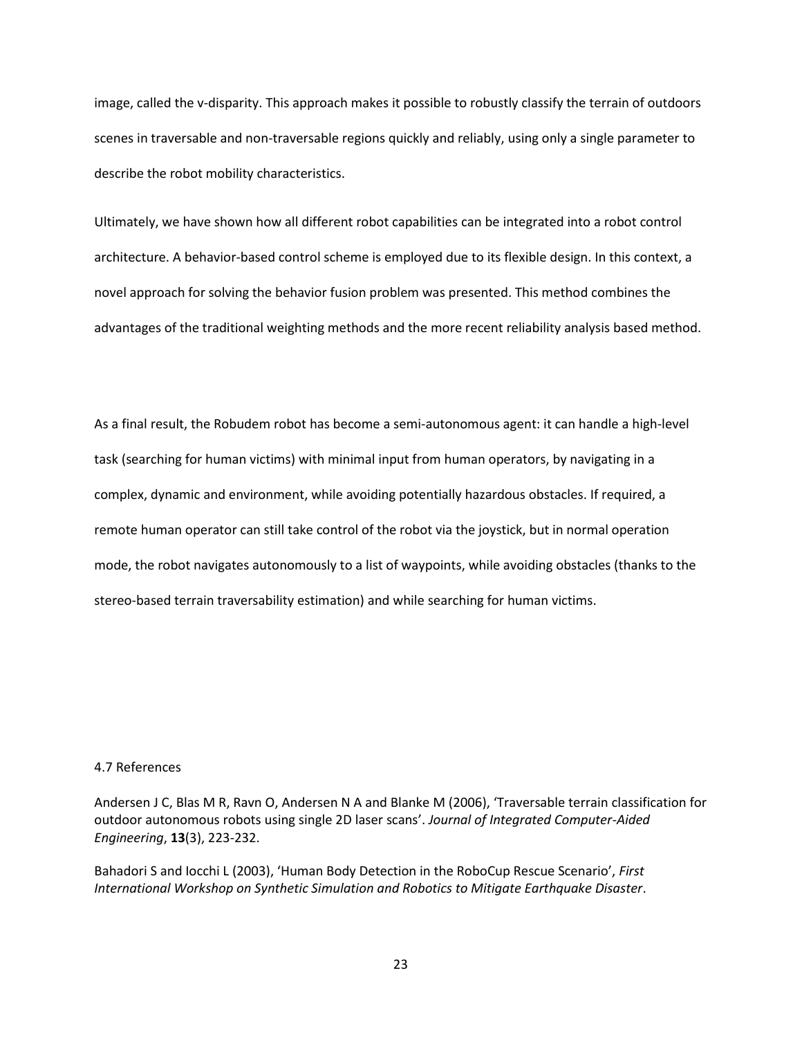image, called the v-disparity. This approach makes it possible to robustly classify the terrain of outdoors scenes in traversable and non-traversable regions quickly and reliably, using only a single parameter to describe the robot mobility characteristics.

Ultimately, we have shown how all different robot capabilities can be integrated into a robot control architecture. A behavior-based control scheme is employed due to its flexible design. In this context, a novel approach for solving the behavior fusion problem was presented. This method combines the advantages of the traditional weighting methods and the more recent reliability analysis based method.

As a final result, the Robudem robot has become a semi-autonomous agent: it can handle a high-level task (searching for human victims) with minimal input from human operators, by navigating in a complex, dynamic and environment, while avoiding potentially hazardous obstacles. If required, a remote human operator can still take control of the robot via the joystick, but in normal operation mode, the robot navigates autonomously to a list of waypoints, while avoiding obstacles (thanks to the stereo-based terrain traversability estimation) and while searching for human victims.

#### 4.7 References

Andersen J C, Blas M R, Ravn O, Andersen N A and Blanke M (2006), 'Traversable terrain classification for outdoor autonomous robots using single 2D laser scans'. *Journal of Integrated Computer-Aided Engineering*, **13**(3), 223-232.

Bahadori S and Iocchi L (2003), 'Human Body Detection in the RoboCup Rescue Scenario', *First International Workshop on Synthetic Simulation and Robotics to Mitigate Earthquake Disaster*.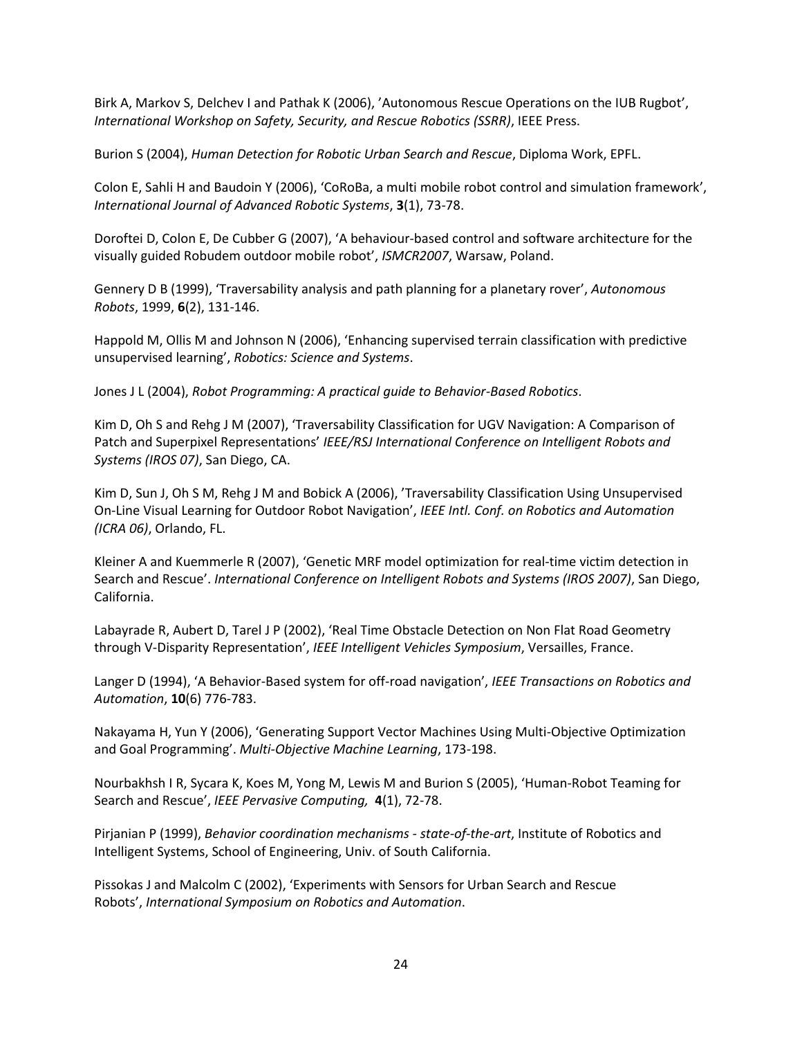Birk A, Markov S, Delchev I and Pathak K (2006), 'Autonomous Rescue Operations on the IUB Rugbot', *International Workshop on Safety, Security, and Rescue Robotics (SSRR)*, IEEE Press.

Burion S (2004), *Human Detection for Robotic Urban Search and Rescue*, Diploma Work, EPFL.

Colon E, Sahli H and Baudoin Y (2006), 'CoRoBa, a multi mobile robot control and simulation framework', *International Journal of Advanced Robotic Systems*, **3**(1), 73-78.

Doroftei D, Colon E, De Cubber G (2007), 'A behaviour-based control and software architecture for the visually guided Robudem outdoor mobile robot', *ISMCR2007*, Warsaw, Poland.

Gennery D B (1999), 'Traversability analysis and path planning for a planetary rover', *Autonomous Robots*, 1999, **6**(2), 131-146.

Happold M, Ollis M and Johnson N (2006), 'Enhancing supervised terrain classification with predictive unsupervised learning', *Robotics: Science and Systems*.

Jones J L (2004), *Robot Programming: A practical guide to Behavior-Based Robotics*.

Kim D, Oh S and Rehg J M (2007), 'Traversability Classification for UGV Navigation: A Comparison of Patch and Superpixel Representations' *IEEE/RSJ International Conference on Intelligent Robots and Systems (IROS 07)*, San Diego, CA.

Kim D, Sun J, Oh S M, Rehg J M and Bobick A (2006), 'Traversability Classification Using Unsupervised On-Line Visual Learning for Outdoor Robot Navigation', *IEEE Intl. Conf. on Robotics and Automation (ICRA 06)*, Orlando, FL.

Kleiner A and Kuemmerle R (2007), 'Genetic MRF model optimization for real-time victim detection in Search and Rescue'. *International Conference on Intelligent Robots and Systems (IROS 2007)*, San Diego, California.

Labayrade R, Aubert D, Tarel J P (2002), 'Real Time Obstacle Detection on Non Flat Road Geometry through V-Disparity Representation', *IEEE Intelligent Vehicles Symposium*, Versailles, France.

Langer D (1994), 'A Behavior-Based system for off-road navigation', *IEEE Transactions on Robotics and Automation*, **10**(6) 776-783.

Nakayama H, Yun Y (2006), 'Generating Support Vector Machines Using Multi-Objective Optimization and Goal Programming'. *Multi-Objective Machine Learning*, 173-198.

Nourbakhsh I R, Sycara K, Koes M, Yong M, Lewis M and Burion S (2005), 'Human-Robot Teaming for Search and Rescue', *IEEE Pervasive Computing,* **4**(1), 72-78.

Pirjanian P (1999), *Behavior coordination mechanisms - state-of-the-art*, Institute of Robotics and Intelligent Systems, School of Engineering, Univ. of South California.

Pissokas J and Malcolm C (2002), 'Experiments with Sensors for Urban Search and Rescue Robots', *International Symposium on Robotics and Automation*.